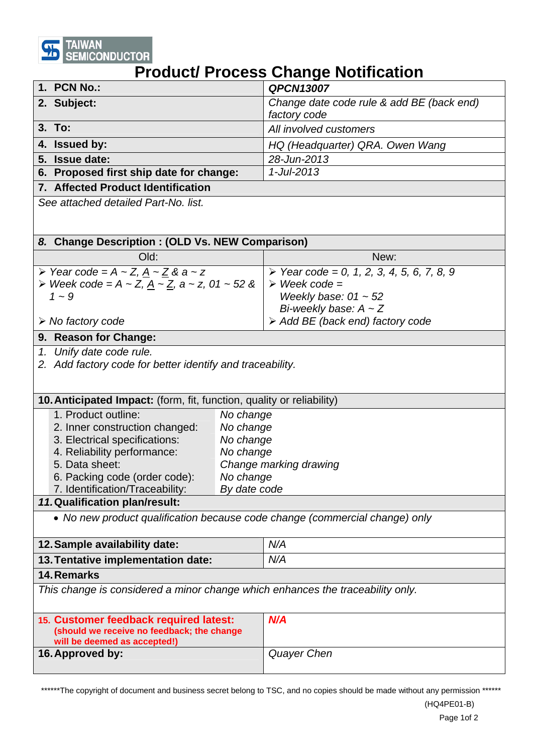

## **Product/ Process Change Notification**

| 1. PCN No.:                                                                            |                                                 | <b>QPCN13007</b>                                          |  |  |
|----------------------------------------------------------------------------------------|-------------------------------------------------|-----------------------------------------------------------|--|--|
| 2. Subject:                                                                            |                                                 | Change date code rule & add BE (back end)<br>factory code |  |  |
| 3. To:                                                                                 |                                                 | All involved customers                                    |  |  |
| 4. Issued by:                                                                          |                                                 | HQ (Headquarter) QRA. Owen Wang                           |  |  |
| 5. Issue date:                                                                         |                                                 | 28-Jun-2013                                               |  |  |
| 6. Proposed first ship date for change:                                                |                                                 | 1-Jul-2013                                                |  |  |
| <b>7. Affected Product Identification</b>                                              |                                                 |                                                           |  |  |
| See attached detailed Part-No. list.                                                   |                                                 |                                                           |  |  |
|                                                                                        |                                                 |                                                           |  |  |
| 8. Change Description : (OLD Vs. NEW Comparison)                                       |                                                 |                                                           |  |  |
| Old:                                                                                   |                                                 | New:                                                      |  |  |
| ≻ Year code = $A \sim Z$ , $\underline{A} \sim \underline{Z}$ & a $\sim$ z             |                                                 | $\triangleright$ Year code = 0, 1, 2, 3, 4, 5, 6, 7, 8, 9 |  |  |
| ► Week code = $A \sim Z$ , $\underline{A} \sim \underline{Z}$ , $a \sim z$ , 01 ~ 52 & |                                                 | $\triangleright$ Week code =                              |  |  |
| $1 - 9$                                                                                |                                                 | Weekly base: $01 \sim 52$                                 |  |  |
|                                                                                        |                                                 | Bi-weekly base: $A \sim Z$                                |  |  |
| $\triangleright$ No factory code                                                       |                                                 | $\triangleright$ Add BE (back end) factory code           |  |  |
| 9. Reason for Change:                                                                  |                                                 |                                                           |  |  |
| 1. Unify date code rule.                                                               |                                                 |                                                           |  |  |
| 2. Add factory code for better identify and traceability.                              |                                                 |                                                           |  |  |
|                                                                                        |                                                 |                                                           |  |  |
|                                                                                        |                                                 |                                                           |  |  |
| <b>10. Anticipated Impact:</b> (form, fit, function, quality or reliability)           |                                                 |                                                           |  |  |
| 1. Product outline:                                                                    | No change                                       |                                                           |  |  |
| 2. Inner construction changed:                                                         | No change                                       |                                                           |  |  |
| 3. Electrical specifications:                                                          | No change                                       |                                                           |  |  |
| 4. Reliability performance:                                                            | No change                                       |                                                           |  |  |
| 5. Data sheet:                                                                         | Change marking drawing                          |                                                           |  |  |
| 6. Packing code (order code):                                                          | No change                                       |                                                           |  |  |
|                                                                                        | 7. Identification/Traceability:<br>By date code |                                                           |  |  |
| 11. Qualification plan/result:                                                         |                                                 |                                                           |  |  |
| • No new product qualification because code change (commercial change) only            |                                                 |                                                           |  |  |
| 12. Sample availability date:                                                          |                                                 | N/A                                                       |  |  |
| 13. Tentative implementation date:                                                     |                                                 | N/A                                                       |  |  |
| 14. Remarks                                                                            |                                                 |                                                           |  |  |
| This change is considered a minor change which enhances the traceability only.         |                                                 |                                                           |  |  |
|                                                                                        |                                                 |                                                           |  |  |
| 15. Customer feedback required latest:                                                 |                                                 | N/A                                                       |  |  |
| (should we receive no feedback; the change                                             |                                                 |                                                           |  |  |
| will be deemed as accepted!)<br>16. Approved by:                                       |                                                 | Quayer Chen                                               |  |  |
|                                                                                        |                                                 |                                                           |  |  |

\*\*\*\*\*\*The copyright of document and business secret belong to TSC, and no copies should be made without any permission \*\*\*\*\*\*